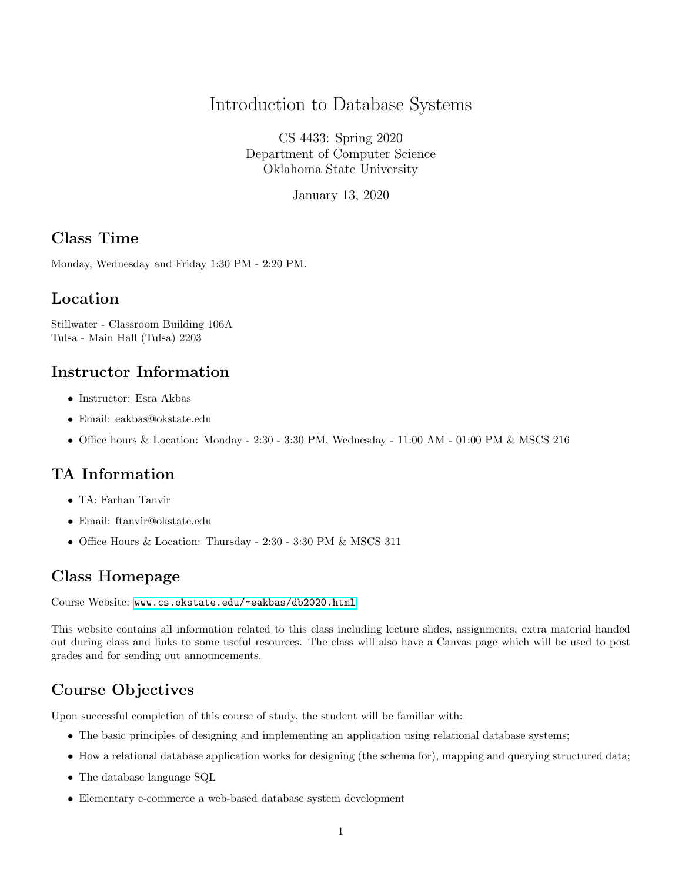### Introduction to Database Systems

CS 4433: Spring 2020 Department of Computer Science Oklahoma State University

January 13, 2020

#### Class Time

Monday, Wednesday and Friday 1:30 PM - 2:20 PM.

#### Location

Stillwater - Classroom Building 106A Tulsa - Main Hall (Tulsa) 2203

#### Instructor Information

- Instructor: Esra Akbas
- Email: eakbas@okstate.edu
- Office hours & Location: Monday 2:30 3:30 PM, Wednesday 11:00 AM 01:00 PM & MSCS 216

### TA Information

- TA: Farhan Tanvir
- Email: ftanvir@okstate.edu
- Office Hours & Location: Thursday 2:30 3:30 PM & MSCS 311

### Class Homepage

Course Website: <www.cs.okstate.edu/~eakbas/db2020.html>

This website contains all information related to this class including lecture slides, assignments, extra material handed out during class and links to some useful resources. The class will also have a Canvas page which will be used to post grades and for sending out announcements.

## Course Objectives

Upon successful completion of this course of study, the student will be familiar with:

- The basic principles of designing and implementing an application using relational database systems;
- How a relational database application works for designing (the schema for), mapping and querying structured data;
- The database language SQL
- Elementary e-commerce a web-based database system development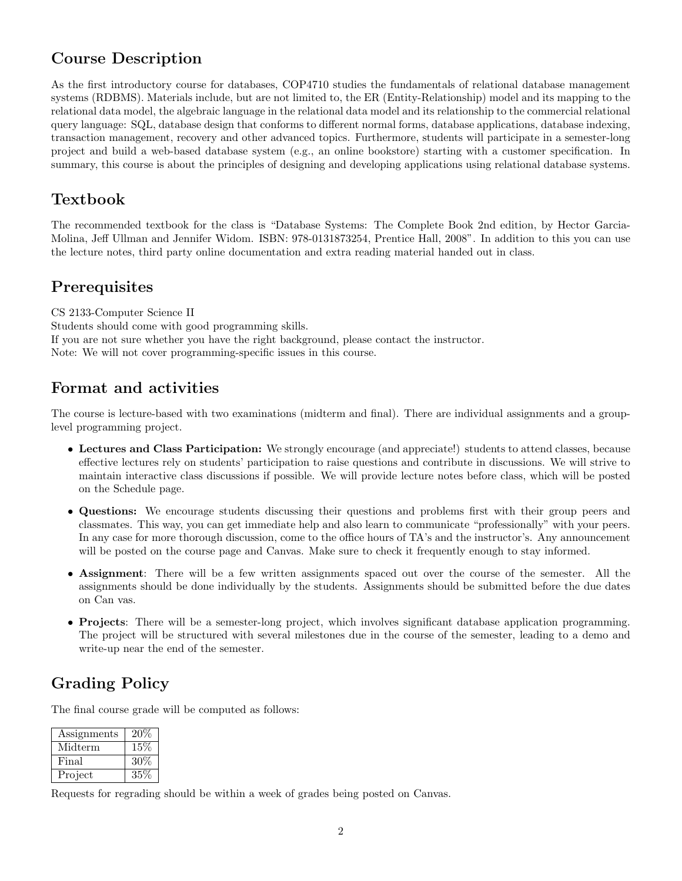### Course Description

As the first introductory course for databases, COP4710 studies the fundamentals of relational database management systems (RDBMS). Materials include, but are not limited to, the ER (Entity-Relationship) model and its mapping to the relational data model, the algebraic language in the relational data model and its relationship to the commercial relational query language: SQL, database design that conforms to different normal forms, database applications, database indexing, transaction management, recovery and other advanced topics. Furthermore, students will participate in a semester-long project and build a web-based database system (e.g., an online bookstore) starting with a customer specification. In summary, this course is about the principles of designing and developing applications using relational database systems.

### Textbook

The recommended textbook for the class is "Database Systems: The Complete Book 2nd edition, by Hector Garcia-Molina, Jeff Ullman and Jennifer Widom. ISBN: 978-0131873254, Prentice Hall, 2008". In addition to this you can use the lecture notes, third party online documentation and extra reading material handed out in class.

### **Prerequisites**

CS 2133-Computer Science II Students should come with good programming skills. If you are not sure whether you have the right background, please contact the instructor. Note: We will not cover programming-specific issues in this course.

### Format and activities

The course is lecture-based with two examinations (midterm and final). There are individual assignments and a grouplevel programming project.

- Lectures and Class Participation: We strongly encourage (and appreciate!) students to attend classes, because effective lectures rely on students' participation to raise questions and contribute in discussions. We will strive to maintain interactive class discussions if possible. We will provide lecture notes before class, which will be posted on the Schedule page.
- Questions: We encourage students discussing their questions and problems first with their group peers and classmates. This way, you can get immediate help and also learn to communicate "professionally" with your peers. In any case for more thorough discussion, come to the office hours of TA's and the instructor's. Any announcement will be posted on the course page and Canvas. Make sure to check it frequently enough to stay informed.
- Assignment: There will be a few written assignments spaced out over the course of the semester. All the assignments should be done individually by the students. Assignments should be submitted before the due dates on Can vas.
- Projects: There will be a semester-long project, which involves significant database application programming. The project will be structured with several milestones due in the course of the semester, leading to a demo and write-up near the end of the semester.

# Grading Policy

The final course grade will be computed as follows:

| Assignments | 20\%   |
|-------------|--------|
| Midterm     | 15%    |
| Final       | 30%    |
| Project     | $35\%$ |

Requests for regrading should be within a week of grades being posted on Canvas.